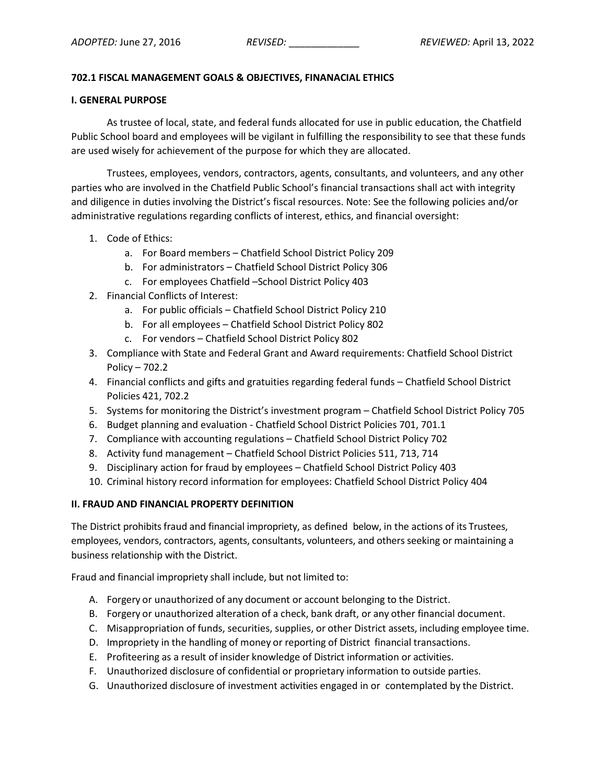# **702.1 FISCAL MANAGEMENT GOALS & OBJECTIVES, FINANACIAL ETHICS**

## **I. GENERAL PURPOSE**

As trustee of local, state, and federal funds allocated for use in public education, the Chatfield Public School board and employees will be vigilant in fulfilling the responsibility to see that these funds are used wisely for achievement of the purpose for which they are allocated.

Trustees, employees, vendors, contractors, agents, consultants, and volunteers, and any other parties who are involved in the Chatfield Public School's financial transactions shall act with integrity and diligence in duties involving the District's fiscal resources. Note: See the following policies and/or administrative regulations regarding conflicts of interest, ethics, and financial oversight:

- 1. Code of Ethics:
	- a. For Board members Chatfield School District Policy 209
	- b. For administrators Chatfield School District Policy 306
	- c. For employees Chatfield –School District Policy 403
- 2. Financial Conflicts of Interest:
	- a. For public officials Chatfield School District Policy 210
	- b. For all employees Chatfield School District Policy 802
	- c. For vendors Chatfield School District Policy 802
- 3. Compliance with State and Federal Grant and Award requirements: Chatfield School District Policy – 702.2
- 4. Financial conflicts and gifts and gratuities regarding federal funds Chatfield School District Policies 421, 702.2
- 5. Systems for monitoring the District's investment program Chatfield School District Policy 705
- 6. Budget planning and evaluation Chatfield School District Policies 701, 701.1
- 7. Compliance with accounting regulations Chatfield School District Policy 702
- 8. Activity fund management Chatfield School District Policies 511, 713, 714
- 9. Disciplinary action for fraud by employees Chatfield School District Policy 403
- 10. Criminal history record information for employees: Chatfield School District Policy 404

# **II. FRAUD AND FINANCIAL PROPERTY DEFINITION**

The District prohibits fraud and financial impropriety, as defined below, in the actions of its Trustees, employees, vendors, contractors, agents, consultants, volunteers, and others seeking or maintaining a business relationship with the District.

Fraud and financial impropriety shall include, but not limited to:

- A. Forgery or unauthorized of any document or account belonging to the District.
- B. Forgery or unauthorized alteration of a check, bank draft, or any other financial document.
- C. Misappropriation of funds, securities, supplies, or other District assets, including employee time.
- D. Impropriety in the handling of money or reporting of District financial transactions.
- E. Profiteering as a result of insider knowledge of District information or activities.
- F. Unauthorized disclosure of confidential or proprietary information to outside parties.
- G. Unauthorized disclosure of investment activities engaged in or contemplated by the District.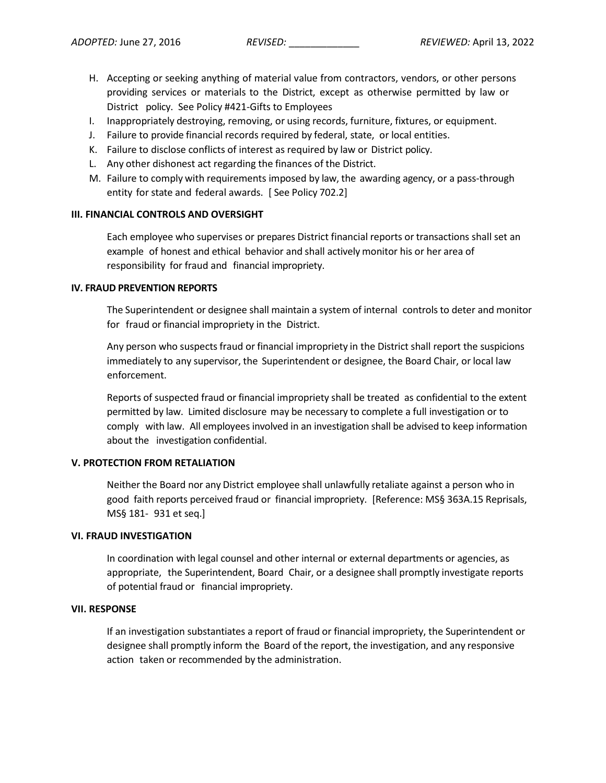- H. Accepting or seeking anything of material value from contractors, vendors, or other persons providing services or materials to the District, except as otherwise permitted by law or District policy. See Policy #421-Gifts to Employees
- I. Inappropriately destroying, removing, or using records, furniture, fixtures, or equipment.
- J. Failure to provide financial records required by federal, state, or local entities.
- K. Failure to disclose conflicts of interest as required by law or District policy.
- L. Any other dishonest act regarding the finances of the District.
- M. Failure to comply with requirements imposed by law, the awarding agency, or a pass-through entity for state and federal awards. [ See Policy 702.2]

## **III. FINANCIAL CONTROLS AND OVERSIGHT**

 Each employee who supervises or prepares District financial reports or transactions shall set an example of honest and ethical behavior and shall actively monitor his or her area of responsibility for fraud and financial impropriety.

## **IV. FRAUD PREVENTION REPORTS**

The Superintendent or designee shall maintain a system of internal controls to deter and monitor for fraud or financial impropriety in the District.

Any person who suspects fraud or financial impropriety in the District shall report the suspicions immediately to any supervisor, the Superintendent or designee, the Board Chair, or local law enforcement.

Reports of suspected fraud or financial impropriety shall be treated as confidential to the extent permitted by law. Limited disclosure may be necessary to complete a full investigation or to comply with law. All employees involved in an investigation shall be advised to keep information about the investigation confidential.

## **V. PROTECTION FROM RETALIATION**

Neither the Board nor any District employee shall unlawfully retaliate against a person who in good faith reports perceived fraud or financial impropriety. [Reference: MS§ 363A.15 Reprisals, MS§ 181- 931 et seq.]

# **VI. FRAUD INVESTIGATION**

In coordination with legal counsel and other internal or external departments or agencies, as appropriate, the Superintendent, Board Chair, or a designee shall promptly investigate reports of potential fraud or financial impropriety.

## **VII. RESPONSE**

If an investigation substantiates a report of fraud or financial impropriety, the Superintendent or designee shall promptly inform the Board of the report, the investigation, and any responsive action taken or recommended by the administration.